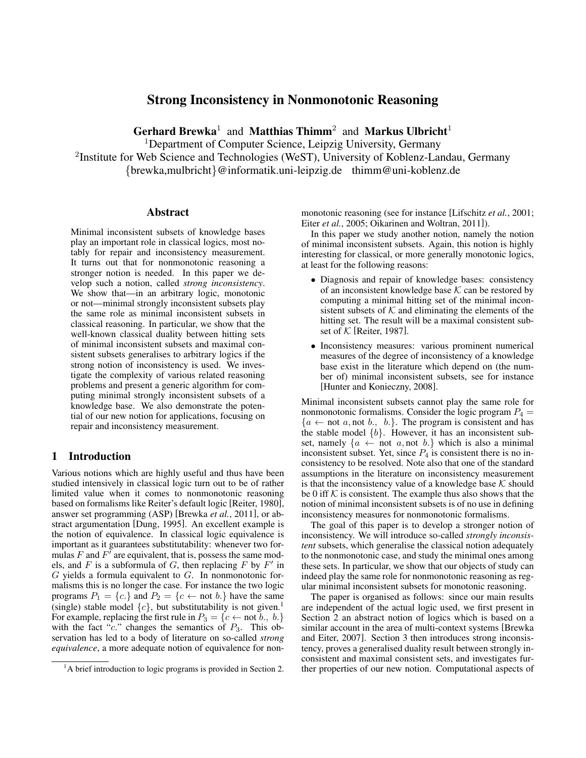# Strong Inconsistency in Nonmonotonic Reasoning

Gerhard Brewka<sup>1</sup> and Matthias Thimm<sup>2</sup> and Markus Ulbricht<sup>1</sup>

<sup>1</sup>Department of Computer Science, Leipzig University, Germany

<sup>2</sup>Institute for Web Science and Technologies (WeST), University of Koblenz-Landau, Germany {brewka,mulbricht}@informatik.uni-leipzig.de thimm@uni-koblenz.de

### Abstract

Minimal inconsistent subsets of knowledge bases play an important role in classical logics, most notably for repair and inconsistency measurement. It turns out that for nonmonotonic reasoning a stronger notion is needed. In this paper we develop such a notion, called *strong inconsistency*. We show that—in an arbitrary logic, monotonic or not—minimal strongly inconsistent subsets play the same role as minimal inconsistent subsets in classical reasoning. In particular, we show that the well-known classical duality between hitting sets of minimal inconsistent subsets and maximal consistent subsets generalises to arbitrary logics if the strong notion of inconsistency is used. We investigate the complexity of various related reasoning problems and present a generic algorithm for computing minimal strongly inconsistent subsets of a knowledge base. We also demonstrate the potential of our new notion for applications, focusing on repair and inconsistency measurement.

## 1 Introduction

Various notions which are highly useful and thus have been studied intensively in classical logic turn out to be of rather limited value when it comes to nonmonotonic reasoning based on formalisms like Reiter's default logic [Reiter, 1980], answer set programming (ASP) [Brewka *et al.*, 2011], or abstract argumentation [Dung, 1995]. An excellent example is the notion of equivalence. In classical logic equivalence is important as it guarantees substitutability: whenever two formulas F and  $F<sup>T</sup>$  are equivalent, that is, possess the same models, and  $F$  is a subformula of  $G$ , then replacing  $F$  by  $F'$  in  $G$  yields a formula equivalent to  $G$ . In nonmonotonic formalisms this is no longer the case. For instance the two logic programs  $P_1 = \{c\}$  and  $P_2 = \{c \leftarrow \text{not } b.\}$  have the same (single) stable model  $\{c\}$ , but substitutability is not given.<sup>1</sup> For example, replacing the first rule in  $P_3 = \{c \leftarrow \text{not } b., b.\}$ with the fact " $c$ ." changes the semantics of  $P_3$ . This observation has led to a body of literature on so-called *strong equivalence*, a more adequate notion of equivalence for nonmonotonic reasoning (see for instance [Lifschitz *et al.*, 2001; Eiter *et al.*, 2005; Oikarinen and Woltran, 2011]).

In this paper we study another notion, namely the notion of minimal inconsistent subsets. Again, this notion is highly interesting for classical, or more generally monotonic logics, at least for the following reasons:

- Diagnosis and repair of knowledge bases: consistency of an inconsistent knowledge base  $K$  can be restored by computing a minimal hitting set of the minimal inconsistent subsets of  $K$  and eliminating the elements of the hitting set. The result will be a maximal consistent subset of  $K$  [Reiter, 1987].
- Inconsistency measures: various prominent numerical measures of the degree of inconsistency of a knowledge base exist in the literature which depend on (the number of) minimal inconsistent subsets, see for instance [Hunter and Konieczny, 2008].

Minimal inconsistent subsets cannot play the same role for nonmonotonic formalisms. Consider the logic program  $P_4$  =  ${a \leftarrow not a, not b., b.}.$  The program is consistent and has the stable model  $\{b\}$ . However, it has an inconsistent subset, namely  $\{a \leftarrow \text{not } a, \text{not } b.\}$  which is also a minimal inconsistent subset. Yet, since  $P_4$  is consistent there is no inconsistency to be resolved. Note also that one of the standard assumptions in the literature on inconsistency measurement is that the inconsistency value of a knowledge base  $K$  should be 0 iff  $K$  is consistent. The example thus also shows that the notion of minimal inconsistent subsets is of no use in defining inconsistency measures for nonmonotonic formalisms.

The goal of this paper is to develop a stronger notion of inconsistency. We will introduce so-called *strongly inconsistent* subsets, which generalise the classical notion adequately to the nonmonotonic case, and study the minimal ones among these sets. In particular, we show that our objects of study can indeed play the same role for nonmonotonic reasoning as regular minimal inconsistent subsets for monotonic reasoning.

The paper is organised as follows: since our main results are independent of the actual logic used, we first present in Section 2 an abstract notion of logics which is based on a similar account in the area of multi-context systems [Brewka and Eiter, 2007]. Section 3 then introduces strong inconsistency, proves a generalised duality result between strongly inconsistent and maximal consistent sets, and investigates further properties of our new notion. Computational aspects of

<sup>&</sup>lt;sup>1</sup>A brief introduction to logic programs is provided in Section 2.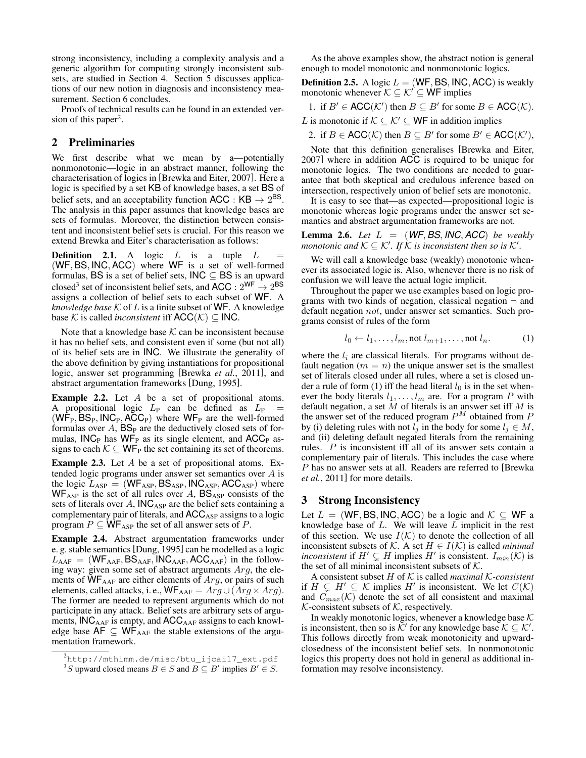strong inconsistency, including a complexity analysis and a generic algorithm for computing strongly inconsistent subsets, are studied in Section 4. Section 5 discusses applications of our new notion in diagnosis and inconsistency measurement. Section 6 concludes.

Proofs of technical results can be found in an extended version of this paper<sup>2</sup>.

## 2 Preliminaries

We first describe what we mean by a—potentially nonmonotonic—logic in an abstract manner, following the characterisation of logics in [Brewka and Eiter, 2007]. Here a logic is specified by a set KB of knowledge bases, a set BS of belief sets, and an acceptability function  $ACC: KB \rightarrow 2^{BS}$ . The analysis in this paper assumes that knowledge bases are sets of formulas. Moreover, the distinction between consistent and inconsistent belief sets is crucial. For this reason we extend Brewka and Eiter's characterisation as follows:

**Definition 2.1.** A logic  $L$  is a tuple  $L$ (WF, BS, INC, ACC) where WF is a set of well-formed formulas, BS is a set of belief sets,  $INC \subseteq BS$  is an upward closed<sup>3</sup> set of inconsistent belief sets, and  $\mathsf{ACC}: 2^{\mathsf{WF}} \to 2^{\mathsf{BS}}$ assigns a collection of belief sets to each subset of WF. A *knowledge base*  $K$  of  $L$  is a finite subset of  $WF$ . A knowledge base K is called *inconsistent* iff  $ACC(\mathcal{K}) \subset INC$ .

Note that a knowledge base  $K$  can be inconsistent because it has no belief sets, and consistent even if some (but not all) of its belief sets are in INC. We illustrate the generality of the above definition by giving instantiations for propositional logic, answer set programming [Brewka *et al.*, 2011], and abstract argumentation frameworks [Dung, 1995].

Example 2.2. Let A be a set of propositional atoms. A propositional logic  $L_P$  can be defined as  $L_P$  =  $(W\overline{F}_P, BS_P, INC_P, ACC_P)$  where  $WF_P$  are the well-formed formulas over  $A$ ,  $BS<sub>P</sub>$  are the deductively closed sets of formulas,  $INC<sub>P</sub>$  has  $WF<sub>P</sub>$  as its single element, and  $ACC<sub>P</sub>$  assigns to each  $K \subseteq WF_P$  the set containing its set of theorems.

Example 2.3. Let A be a set of propositional atoms. Extended logic programs under answer set semantics over A is the logic  $L_{ASP} = (WF_{ASP}, BS_{ASP}, INC_{ASP}, ACC_{ASP})$  where  $WF_{ASP}$  is the set of all rules over A,  $BS_{ASP}$  consists of the sets of literals over  $A$ ,  $\textsf{INC}_{\textsf{ASP}}$  are the belief sets containing a complementary pair of literals, and ACC<sub>ASP</sub> assigns to a logic program  $P \subseteq \overline{WF}_{ASP}$  the set of all answer sets of P.

Example 2.4. Abstract argumentation frameworks under e. g. stable semantics [Dung, 1995] can be modelled as a logic  $L_{\text{AAF}} = (\text{WF}_{\text{AAF}}, \text{BS}_{\text{AAF}}, \text{INC}_{\text{AAF}}, \text{ACC}_{\text{AAF}})$  in the following way: given some set of abstract arguments Arg, the elements of  $W_{\text{AAF}}$  are either elements of  $Arg$ , or pairs of such elements, called attacks, i. e.,  $WF_{AAF} = Arg \cup (Arg \times Arg)$ . The former are needed to represent arguments which do not participate in any attack. Belief sets are arbitrary sets of arguments,  $ING_{AAF}$  is empty, and  $ACC_{AAF}$  assigns to each knowledge base  $AF \subseteq WF_{AAF}$  the stable extensions of the argumentation framework.

As the above examples show, the abstract notion is general enough to model monotonic and nonmonotonic logics.

**Definition 2.5.** A logic  $L = (WF, BS, INC, ACC)$  is weakly monotonic whenever  $\mathcal{K} \subseteq \mathcal{K}' \subseteq \mathsf{WF}$  implies

1. if  $B' \in \text{ACC}(\mathcal{K}')$  then  $B \subseteq B'$  for some  $B \in \text{ACC}(\mathcal{K})$ .

L is monotonic if  $K \subseteq K' \subseteq WF$  in addition implies

2. if  $B \in \text{ACC}(\mathcal{K})$  then  $B \subseteq B'$  for some  $B' \in \text{ACC}(\mathcal{K}'),$ 

Note that this definition generalises [Brewka and Eiter, 2007] where in addition ACC is required to be unique for monotonic logics. The two conditions are needed to guarantee that both skeptical and credulous inference based on intersection, respectively union of belief sets are monotonic.

It is easy to see that—as expected—propositional logic is monotonic whereas logic programs under the answer set semantics and abstract argumentation frameworks are not.

**Lemma 2.6.** *Let*  $L = (WF, BS, INC, ACC)$  *be weakly* monotonic and  $K \subseteq K'$ . If  $\hat{K}$  is inconsistent then so is  $\mathcal{K}'.$ 

We will call a knowledge base (weakly) monotonic whenever its associated logic is. Also, whenever there is no risk of confusion we will leave the actual logic implicit.

Throughout the paper we use examples based on logic programs with two kinds of negation, classical negation  $\neg$  and default negation not, under answer set semantics. Such programs consist of rules of the form

$$
l_0 \leftarrow l_1, \dots, l_m, \text{not } l_{m+1}, \dots, \text{not } l_n. \tag{1}
$$

where the  $l_i$  are classical literals. For programs without default negation ( $m = n$ ) the unique answer set is the smallest set of literals closed under all rules, where a set is closed under a rule of form (1) iff the head literal  $l_0$  is in the set whenever the body literals  $l_1, \ldots, l_m$  are. For a program P with default negation, a set  $M$  of literals is an answer set iff  $M$  is the answer set of the reduced program  $\mathbb{P}^M$  obtained from  $\mathbb P$ by (i) deleting rules with not  $l_i$  in the body for some  $l_i \in M$ , and (ii) deleting default negated literals from the remaining rules.  $P$  is inconsistent iff all of its answer sets contain a complementary pair of literals. This includes the case where P has no answer sets at all. Readers are referred to [Brewka *et al.*, 2011] for more details.

## 3 Strong Inconsistency

Let  $L = (WF, BS, INC, ACC)$  be a logic and  $K \subseteq WF$  a knowledge base of  $L$ . We will leave  $L$  implicit in the rest of this section. We use  $I(K)$  to denote the collection of all inconsistent subsets of  $K$ . A set  $H \in I(K)$  is called *minimal inconsistent* if  $H' \subsetneq H$  implies  $H'$  is consistent.  $I_{min}(\mathcal{K})$  is the set of all minimal inconsistent subsets of  $K$ .

A consistent subset H of K is called *maximal* K*-consistent* if  $H \subsetneq H' \subseteq \mathcal{K}$  implies  $H'$  is inconsistent. We let  $C(\mathcal{K})$ and  $C_{max}(\mathcal{K})$  denote the set of all consistent and maximal  $K$ -consistent subsets of  $K$ , respectively.

In weakly monotonic logics, whenever a knowledge base  $K$ is inconsistent, then so is  $\mathcal{K}'$  for any knowledge base  $\mathcal{K} \subseteq \mathcal{K}'$ . This follows directly from weak monotonicity and upwardclosedness of the inconsistent belief sets. In nonmonotonic logics this property does not hold in general as additional information may resolve inconsistency.

<sup>2</sup>http://mthimm.de/misc/btu\_ijcai17\_ext.pdf

<sup>&</sup>lt;sup>3</sup>S upward closed means  $B \in S$  and  $B \subseteq B'$  implies  $B' \in S$ .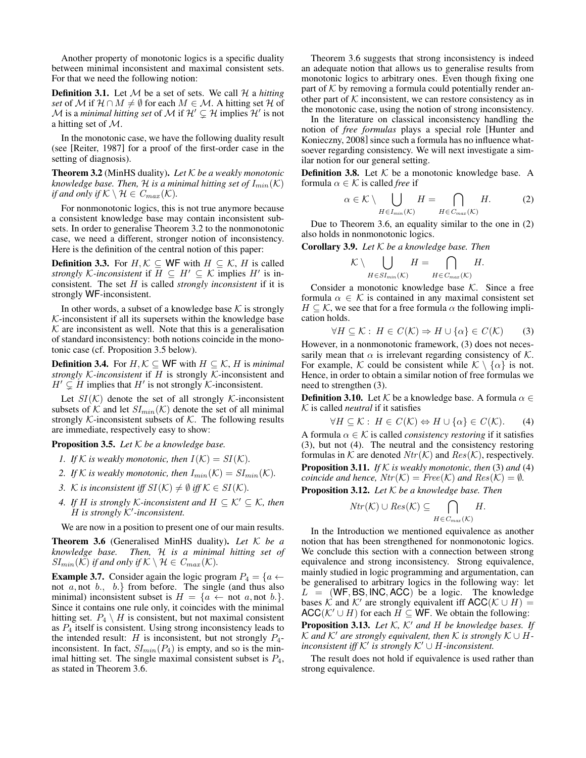Another property of monotonic logics is a specific duality between minimal inconsistent and maximal consistent sets. For that we need the following notion:

**Definition 3.1.** Let  $M$  be a set of sets. We call  $H$  a *hitting set* of M if  $\mathcal{H} \cap M \neq \emptyset$  for each  $M \in \mathcal{M}$ . A hitting set  $\mathcal{H}$  of  ${\mathcal M}$  is a *minimal hitting set* of  ${\mathcal M}$  if  ${\mathcal H}'\subsetneq {\mathcal H}$  implies  ${\mathcal H}'$  is not a hitting set of  $M$ .

In the monotonic case, we have the following duality result (see [Reiter, 1987] for a proof of the first-order case in the setting of diagnosis).

Theorem 3.2 (MinHS duality). *Let* K *be a weakly monotonic knowledge base. Then,*  $H$  *is a minimal hitting set of*  $I_{min}(\mathcal{K})$ *if and only if*  $K \setminus H \in C_{max}(\mathcal{K})$ *.* 

For nonmonotonic logics, this is not true anymore because a consistent knowledge base may contain inconsistent subsets. In order to generalise Theorem 3.2 to the nonmonotonic case, we need a different, stronger notion of inconsistency. Here is the definition of the central notion of this paper:

**Definition 3.3.** For  $H, \mathcal{K} \subseteq \mathsf{WF}$  with  $H \subseteq \mathcal{K}$ , H is called *strongly* K-inconsistent if  $H \subseteq H' \subseteq K$  implies  $H'$  is inconsistent. The set H is called *strongly inconsistent* if it is strongly WF-inconsistent.

In other words, a subset of a knowledge base  $K$  is strongly  $K$ -inconsistent if all its supersets within the knowledge base  $K$  are inconsistent as well. Note that this is a generalisation of standard inconsistency: both notions coincide in the monotonic case (cf. Proposition 3.5 below).

**Definition 3.4.** For  $H, K \subseteq \mathsf{WF}$  with  $H \subseteq K$ ,  $H$  is *minimal strongly* K*-inconsistent* if H is strongly K-inconsistent and  $H' \subsetneq H$  implies that  $H'$  is not strongly K-inconsistent.

Let  $SI(\mathcal{K})$  denote the set of all strongly  $\mathcal{K}$ -inconsistent subsets of  $K$  and let  $SI_{min}(\mathcal{K})$  denote the set of all minimal strongly  $K$ -inconsistent subsets of  $K$ . The following results are immediate, respectively easy to show:

Proposition 3.5. *Let* K *be a knowledge base.*

- *1. If*  $K$  *is weakly monotonic, then*  $I(K) = SI(K)$ *.*
- *2. If*  $K$  *is weakly monotonic, then*  $I_{min}(\mathcal{K}) = SI_{min}(\mathcal{K})$ *.*
- *3.* K is inconsistent iff  $SI(K) \neq \emptyset$  iff  $K \in SI(K)$ .
- *4.* If H is strongly K-inconsistent and  $H \subset \mathcal{K}' \subset \mathcal{K}$ , then H *is strongly* K<sup>0</sup> *-inconsistent.*

We are now in a position to present one of our main results.

Theorem 3.6 (Generalised MinHS duality). *Let* K *be a knowledge base. Then,* H *is a minimal hitting set of*  $SI_{min}(\mathcal{K})$  *if and only if*  $\mathcal{K} \setminus \mathcal{H} \in C_{max}(\mathcal{K})$ *.* 

**Example 3.7.** Consider again the logic program  $P_4 = \{a \leftarrow$ not  $a,$  not  $b., b.$ } from before. The single (and thus also minimal) inconsistent subset is  $H = \{a \leftarrow \text{not } a, \text{not } b.\}.$ Since it contains one rule only, it coincides with the minimal hitting set.  $P_4 \setminus H$  is consistent, but not maximal consistent as  $P_4$  itself is consistent. Using strong inconsistency leads to the intended result: H is inconsistent, but not strongly  $P_4$ inconsistent. In fact,  $SI_{min}(P_4)$  is empty, and so is the minimal hitting set. The single maximal consistent subset is  $P_4$ , as stated in Theorem 3.6.

Theorem 3.6 suggests that strong inconsistency is indeed an adequate notion that allows us to generalise results from monotonic logics to arbitrary ones. Even though fixing one part of  $K$  by removing a formula could potentially render another part of  $K$  inconsistent, we can restore consistency as in the monotonic case, using the notion of strong inconsistency.

In the literature on classical inconsistency handling the notion of *free formulas* plays a special role [Hunter and Konieczny, 2008] since such a formula has no influence whatsoever regarding consistency. We will next investigate a similar notion for our general setting.

**Definition 3.8.** Let  $K$  be a monotonic knowledge base. A formula  $\alpha \in \mathcal{K}$  is called *free* if

$$
\alpha \in \mathcal{K} \setminus \bigcup_{H \in I_{min}(\mathcal{K})} H = \bigcap_{H \in C_{max}(\mathcal{K})} H. \tag{2}
$$

Due to Theorem 3.6, an equality similar to the one in (2) also holds in nonmonotonic logics.

Corollary 3.9. *Let* K *be a knowledge base. Then*

$$
\mathcal{K} \setminus \bigcup_{H \in SI_{min}(\mathcal{K})} H = \bigcap_{H \in C_{max}(\mathcal{K})} H.
$$

Consider a monotonic knowledge base  $K$ . Since a free formula  $\alpha \in \mathcal{K}$  is contained in any maximal consistent set  $H \subseteq \mathcal{K}$ , we see that for a free formula  $\alpha$  the following implication holds.

$$
\forall H \subseteq \mathcal{K} : H \in C(\mathcal{K}) \Rightarrow H \cup \{\alpha\} \in C(\mathcal{K}) \tag{3}
$$

However, in a nonmonotonic framework, (3) does not necessarily mean that  $\alpha$  is irrelevant regarding consistency of K. For example, K could be consistent while  $\mathcal{K} \setminus \{\alpha\}$  is not. Hence, in order to obtain a similar notion of free formulas we need to strengthen (3).

**Definition 3.10.** Let  $K$  be a knowledge base. A formula  $\alpha \in$ K is called *neutral* if it satisfies

$$
\forall H \subseteq \mathcal{K} : H \in C(\mathcal{K}) \Leftrightarrow H \cup \{\alpha\} \in C(\mathcal{K}).\tag{4}
$$

A formula  $\alpha \in \mathcal{K}$  is called *consistency restoring* if it satisfies (3), but not (4). The neutral and the consistency restoring formulas in K are denoted  $Ntr(K)$  and  $Res(K)$ , respectively. Proposition 3.11. *If* K *is weakly monotonic, then* (3) *and* (4) *coincide and hence,*  $Ntr(K) = Free(K)$  *and*  $Res(K) = \emptyset$ *.* 

Proposition 3.12. *Let* K *be a knowledge base. Then*

$$
Ntr(\mathcal{K}) \cup Res(\mathcal{K}) \subseteq \bigcap_{H \in C_{max}(\mathcal{K})} H.
$$

In the Introduction we mentioned equivalence as another notion that has been strengthened for nonmonotonic logics. We conclude this section with a connection between strong equivalence and strong inconsistency. Strong equivalence, mainly studied in logic programming and argumentation, can be generalised to arbitrary logics in the following way: let  $L = (WF, BS, INC, ACC)$  be a logic. The knowledge bases  $\mathcal{K}$  and  $\mathcal{K}'$  are strongly equivalent iff  $\mathsf{ACC}(\mathcal{K} \cup H) =$ ACC( $K' \cup H$ ) for each  $H \subseteq \mathsf{WF}$ . We obtain the following:

**Proposition 3.13.** Let  $K$ ,  $K'$  and  $H$  be knowledge bases. If K and K' are strongly equivalent, then K is strongly  $K \cup H$ *inconsistent iff*  $K'$  *is strongly*  $K' \cup H$ *-inconsistent.* 

The result does not hold if equivalence is used rather than strong equivalence.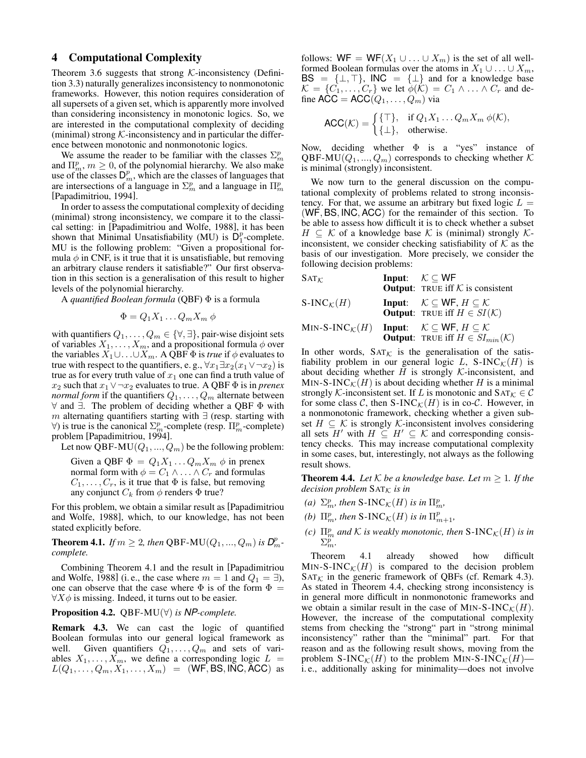## 4 Computational Complexity

Theorem 3.6 suggests that strong  $K$ -inconsistency (Definition 3.3) naturally generalizes inconsistency to nonmonotonic frameworks. However, this notion requires consideration of all supersets of a given set, which is apparently more involved than considering inconsistency in monotonic logics. So, we are interested in the computational complexity of deciding (minimal) strong  $K$ -inconsistency and in particular the difference between monotonic and nonmonotonic logics.

We assume the reader to be familiar with the classes  $\Sigma_m^p$ and  $\Pi_m^p$ ,  $m \geq 0$ , of the polynomial hierarchy. We also make use of the classes  $D_m^p$ , which are the classes of languages that are intersections of a language in  $\Sigma_m^p$  and a language in  $\Pi_m^p$ [Papadimitriou, 1994].

In order to assess the computational complexity of deciding (minimal) strong inconsistency, we compare it to the classical setting: in [Papadimitriou and Wolfe, 1988], it has been shown that Minimal Unsatisfiability (MU) is  $D_1^p$ -complete. MU is the following problem: "Given a propositional formula  $\phi$  in CNF, is it true that it is unsatisfiable, but removing an arbitrary clause renders it satisfiable?" Our first observation in this section is a generalisation of this result to higher levels of the polynomial hierarchy.

A *quantified Boolean formula* (QBF) Φ is a formula

$$
\Phi = Q_1 X_1 \dots Q_m X_m \phi
$$

with quantifiers  $Q_1, \ldots, Q_m \in \{\forall, \exists\}$ , pair-wise disjoint sets of variables  $X_1, \ldots, X_m$ , and a propositional formula  $\phi$  over the variables  $X_1 \cup \ldots \cup X_m$ . A QBF  $\Phi$  is *true* if  $\phi$  evaluates to true with respect to the quantifiers, e.g.,  $\forall x_1 \exists x_2(x_1 \lor \neg x_2)$  is true as for every truth value of  $x_1$  one can find a truth value of x<sub>2</sub> such that  $x_1 \vee \neg x_2$  evaluates to true. A QBF  $\Phi$  is in *prenex normal form* if the quantifiers  $Q_1, \ldots, Q_m$  alternate between ∀ and ∃. The problem of deciding whether a QBF Φ with m alternating quantifiers starting with  $\exists$  (resp. starting with  $\forall$ ) is true is the canonical  $\Sigma_m^p$ -complete (resp.  $\Pi_m^p$ -complete) problem [Papadimitriou, 1994].

Let now QBF-MU( $Q_1, ..., Q_m$ ) be the following problem:

Given a QBF  $\Phi = Q_1 X_1 \dots Q_m X_m$   $\phi$  in prenex normal form with  $\phi = C_1 \wedge \ldots \wedge C_r$  and formulas  $C_1, \ldots, C_r$ , is it true that  $\Phi$  is false, but removing any conjunct  $C_k$  from  $\phi$  renders  $\Phi$  true?

For this problem, we obtain a similar result as [Papadimitriou and Wolfe, 1988], which, to our knowledge, has not been stated explicitly before.

**Theorem 4.1.** *If*  $m \ge 2$ *, then* QBF-MU( $Q_1, ..., Q_m$ ) *is*  $D_m^p$ *complete.*

Combining Theorem 4.1 and the result in [Papadimitriou and Wolfe, 1988] (i.e., the case where  $m = 1$  and  $Q_1 = \exists$ ), one can observe that the case where  $\Phi$  is of the form  $\Phi =$  $\forall X \phi$  is missing. Indeed, it turns out to be easier.

Proposition 4.2. QBF-MU(∀) *is NP-complete.*

Remark 4.3. We can cast the logic of quantified Boolean formulas into our general logical framework as well. Given quantifiers  $Q_1, \ldots, Q_m$  and sets of variables  $X_1, \ldots, X_m$ , we define a corresponding logic  $L =$  $L(Q_1, \ldots, Q_m, X_1, \ldots, X_m) = (\mathsf{WF}, \mathsf{BS}, \mathsf{INC}, \mathsf{ACC})$  as follows:  $WF = WF(X_1 \cup ... \cup X_m)$  is the set of all wellformed Boolean formulas over the atoms in  $X_1 \cup \ldots \cup X_m$ ,  $BS = \{\perp, \perp\}$ , INC =  $\{\perp\}$  and for a knowledge base  $\mathcal{K} = \{C_1, \ldots, C_r\}$  we let  $\phi(\mathcal{K}) = C_1 \wedge \ldots \wedge C_r$  and define  $\text{ACC} = \text{ACC}(Q_1, \ldots, Q_m)$  via

$$
\mathsf{ACC}(\mathcal{K}) = \begin{cases} \{ \top \}, & \text{if } Q_1 X_1 \dots Q_m X_m \ \phi(\mathcal{K}), \\ \{ \bot \}, & \text{otherwise.} \end{cases}
$$

Now, deciding whether  $\Phi$  is a "yes" instance of QBF-MU( $Q_1, ..., Q_m$ ) corresponds to checking whether K is minimal (strongly) inconsistent.

We now turn to the general discussion on the computational complexity of problems related to strong inconsistency. For that, we assume an arbitrary but fixed logic  $L =$ (WF, BS, INC, ACC) for the remainder of this section. To be able to assess how difficult it is to check whether a subset  $H \subseteq \mathcal{K}$  of a knowledge base  $\mathcal{K}$  is (minimal) strongly  $\mathcal{K}$ inconsistent, we consider checking satisfiability of  $K$  as the basis of our investigation. More precisely, we consider the following decision problems:

| $SAT_{K}$                       | Input: $\mathcal{K} \subseteq \mathsf{WF}$<br><b>Output:</b> TRUE iff $K$ is consistent                                             |
|---------------------------------|-------------------------------------------------------------------------------------------------------------------------------------|
| $S\text{-}INC_{\mathcal{K}}(H)$ | <b>Input:</b> $\mathcal{K} \subseteq \mathsf{WF}, H \subseteq \mathcal{K}$<br><b>Output:</b> TRUE iff $H \in SI(\mathcal{K})$       |
| MIN-S-INC $_{\mathcal{K}}(H)$   | <b>Input:</b> $\mathcal{K} \subseteq \mathsf{WF}, H \subseteq \mathcal{K}$<br><b>Output:</b> TRUE iff $H \in SI_{min}(\mathcal{K})$ |

In other words,  $SAT_{\mathcal{K}}$  is the generalisation of the satisfiability problem in our general logic L, S-INC $_K(H)$  is about deciding whether  $H$  is strongly  $K$ -inconsistent, and MIN-S-INC $_{\mathcal{K}}(H)$  is about deciding whether H is a minimal strongly K-inconsistent set. If L is monotonic and  $\text{SAT}_{\mathcal{K}} \in \mathcal{C}$ for some class C, then S-INC $_{\mathcal{K}}(H)$  is in co-C. However, in a nonmonotonic framework, checking whether a given subset  $H \subseteq \mathcal{K}$  is strongly  $\mathcal{K}$ -inconsistent involves considering all sets H' with  $H \subseteq H' \subseteq \mathcal{K}$  and corresponding consistency checks. This may increase computational complexity in some cases, but, interestingly, not always as the following result shows.

**Theorem 4.4.** *Let*  $K$  *be a knowledge base. Let*  $m \geq 1$ *. If the decision problem*  $\text{SAT}_K$  *is in* 

- *(a)*  $\Sigma_m^p$ , then S-INC<sub>K</sub>(H) is in  $\Pi_m^p$ ,
- *(b)*  $\Pi_m^p$ , then  $S\text{-INC}_\mathcal{K}(H)$  *is in*  $\Pi_{m+1}^p$ ,
- *(c)*  $\Pi_m^p$  and  $K$  is weakly monotonic, then  $S\text{-}INC_{\mathcal{K}}(H)$  is in  $\Sigma_m^p$ .

Theorem 4.1 already showed how difficult MIN-S-INC $_{\mathcal{K}}(H)$  is compared to the decision problem  $SAT_{\mathcal{K}}$  in the generic framework of QBFs (cf. Remark 4.3). As stated in Theorem 4.4, checking strong inconsistency is in general more difficult in nonmonotonic frameworks and we obtain a similar result in the case of MIN-S-INC $_{\mathcal{K}}(H)$ . However, the increase of the computational complexity stems from checking the "strong" part in "strong minimal inconsistency" rather than the "minimal" part. For that reason and as the following result shows, moving from the problem S-INC $_{\mathcal{K}}(H)$  to the problem MIN-S-INC $_{\mathcal{K}}(H)$  i. e., additionally asking for minimality—does not involve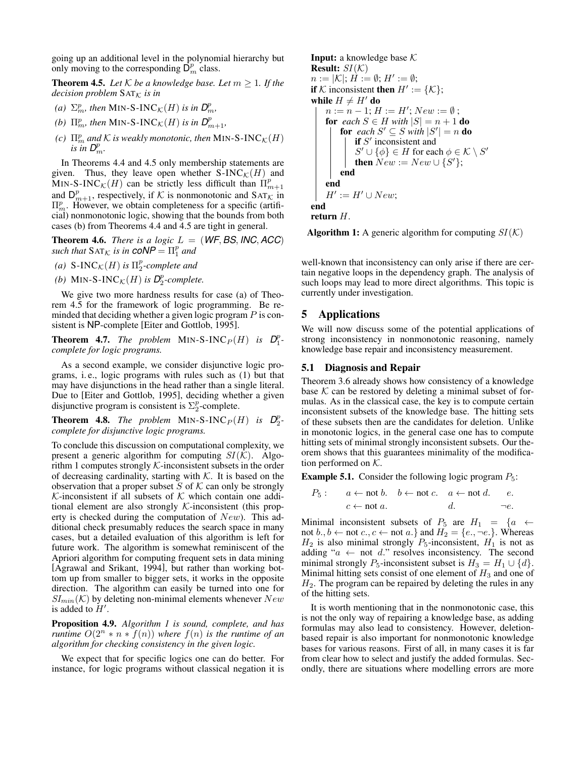going up an additional level in the polynomial hierarchy but only moving to the corresponding  $\overline{\mathsf{D}_{m}^{p}}$  class.

**Theorem 4.5.** Let  $K$  be a knowledge base. Let  $m \geq 1$ . If the *decision problem*  $SAT<sub>K</sub>$  *is in* 

- (a)  $\Sigma_m^p$ , then MIN-S-INC<sub>K</sub>(H) is in  $D_m^p$ ,
- *(b)*  $\Pi_{m}^p$ , then MIN-S-INC<sub>K</sub>(H) is in  $D_{m+1}^p$ ,
- *(c)*  $\Pi_m^p$  *and*  $K$  *is weakly monotonic, then* MIN-S-INC $_K(H)$ *is* in  $D_m^p$ .

In Theorems 4.4 and 4.5 only membership statements are given. Thus, they leave open whether S-INC $_{\mathcal{K}}(H)$  and MIN-S-INC $\kappa(H)$  can be strictly less difficult than  $\Pi_{m+1}^p$ and  $D_{m+1}^p$ , respectively, if K is nonmonotonic and SAT<sub>K</sub> in  $\Pi_m^p$ . However, we obtain completeness for a specific (artificial) nonmonotonic logic, showing that the bounds from both cases (b) from Theorems 4.4 and 4.5 are tight in general.

**Theorem 4.6.** *There is a logic*  $L = (WF, BS, INC, ACC)$ *such that*  $SAT_{\mathcal{K}}$  *is in*  $CoNP = \Pi_1^p$  *and* 

- (*a*)  $S\text{-INC}_{\mathcal{K}}(H)$  *is*  $\Pi_2^p$ -complete and
- *(b)* MIN-S-INC<sub> $K$ </sub> $(H)$  *is*  $D_2^p$ -complete.

We give two more hardness results for case (a) of Theorem 4.5 for the framework of logic programming. Be reminded that deciding whether a given logic program  $P$  is consistent is NP-complete [Eiter and Gottlob, 1995].

**Theorem 4.7.** The problem MIN-S-INC<sub>P</sub>(H) is  $D_1^p$ *complete for logic programs.*

As a second example, we consider disjunctive logic programs, i. e., logic programs with rules such as (1) but that may have disjunctions in the head rather than a single literal. Due to [Eiter and Gottlob, 1995], deciding whether a given disjunctive program is consistent is  $\Sigma_2^p$ -complete.

**Theorem 4.8.** *The problem* MIN-S-INC<sub>P</sub>(H) *is*  $D_2^p$ *complete for disjunctive logic programs.*

To conclude this discussion on computational complexity, we present a generic algorithm for computing  $SI(K)$ . Algorithm 1 computes strongly  $K$ -inconsistent subsets in the order of decreasing cardinality, starting with  $K$ . It is based on the observation that a proper subset  $S$  of  $K$  can only be strongly K-inconsistent if all subsets of K which contain one additional element are also strongly  $K$ -inconsistent (this property is checked during the computation of  $New$ ). This additional check presumably reduces the search space in many cases, but a detailed evaluation of this algorithm is left for future work. The algorithm is somewhat reminiscent of the Apriori algorithm for computing frequent sets in data mining [Agrawal and Srikant, 1994], but rather than working bottom up from smaller to bigger sets, it works in the opposite direction. The algorithm can easily be turned into one for  $SI_{min}(\mathcal{K})$  by deleting non-minimal elements whenever  $New$ is added to  $H'$ .

Proposition 4.9. *Algorithm 1 is sound, complete, and has runtime*  $O(2^n * n * f(n))$  *where*  $f(n)$  *is the runtime of an algorithm for checking consistency in the given logic.*

We expect that for specific logics one can do better. For instance, for logic programs without classical negation it is

```
Input: a knowledge base KResult: SI(K)n:=|\mathcal{K}|; \dot{H}:=\emptyset; H':=\emptyset;if K inconsistent then H' := \{K\};while H \neq H' do
n := n - 1; H := H'; New := \emptyset;for each S \in H with |S| = n + 1 do
     for each S' \subseteq S with |S'| = n do
         if S' inconsistent and
         S' \cup \{\phi\} \in H for each \phi \in \mathcal{K} \setminus S'then New := New \cup \{S'\};end
end
H' := H' \cup New;end
```
return H.

**Algorithm 1:** A generic algorithm for computing  $SI(\mathcal{K})$ 

well-known that inconsistency can only arise if there are certain negative loops in the dependency graph. The analysis of such loops may lead to more direct algorithms. This topic is currently under investigation.

# 5 Applications

We will now discuss some of the potential applications of strong inconsistency in nonmonotonic reasoning, namely knowledge base repair and inconsistency measurement.

### 5.1 Diagnosis and Repair

Theorem 3.6 already shows how consistency of a knowledge base  $K$  can be restored by deleting a minimal subset of formulas. As in the classical case, the key is to compute certain inconsistent subsets of the knowledge base. The hitting sets of these subsets then are the candidates for deletion. Unlike in monotonic logics, in the general case one has to compute hitting sets of minimal strongly inconsistent subsets. Our theorem shows that this guarantees minimality of the modification performed on  $K$ .

**Example 5.1.** Consider the following logic program  $P_5$ :

$$
P_5: a \leftarrow \text{not } b. \quad b \leftarrow \text{not } c. \quad a \leftarrow \text{not } d. \quad e.
$$
\n
$$
c \leftarrow \text{not } a. \quad d. \quad -e.
$$

Minimal inconsistent subsets of  $P_5$  are  $H_1 = \{a \leftarrow$ not  $b, b \leftarrow$  not  $c, c \leftarrow$  not  $a$ .} and  $H_2 = \{e, \neg e\}$ . Whereas  $H_2$  is also minimal strongly  $P_5$ -inconsistent,  $H_1$  is not as adding " $a \leftarrow$  not d." resolves inconsistency. The second minimal strongly  $P_5$ -inconsistent subset is  $H_3 = H_1 \cup \{d\}.$ Minimal hitting sets consist of one element of  $H_3$  and one of  $H<sub>2</sub>$ . The program can be repaired by deleting the rules in any of the hitting sets.

It is worth mentioning that in the nonmonotonic case, this is not the only way of repairing a knowledge base, as adding formulas may also lead to consistency. However, deletionbased repair is also important for nonmonotonic knowledge bases for various reasons. First of all, in many cases it is far from clear how to select and justify the added formulas. Secondly, there are situations where modelling errors are more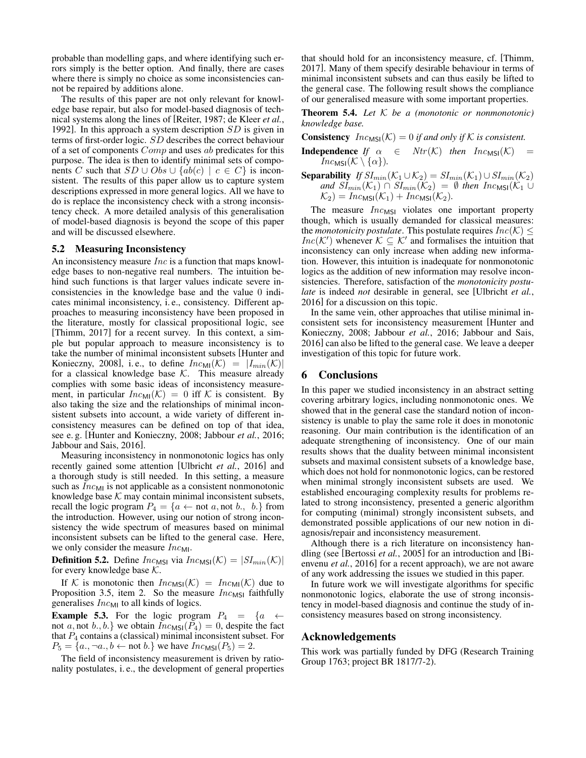probable than modelling gaps, and where identifying such errors simply is the better option. And finally, there are cases where there is simply no choice as some inconsistencies cannot be repaired by additions alone.

The results of this paper are not only relevant for knowledge base repair, but also for model-based diagnosis of technical systems along the lines of [Reiter, 1987; de Kleer *et al.*, 1992]. In this approach a system description  $SD$  is given in terms of first-order logic. SD describes the correct behaviour of a set of components *Comp* and uses ab predicates for this purpose. The idea is then to identify minimal sets of components C such that  $SD \cup Obs \cup \{ab(c) \mid c \in C\}$  is inconsistent. The results of this paper allow us to capture system descriptions expressed in more general logics. All we have to do is replace the inconsistency check with a strong inconsistency check. A more detailed analysis of this generalisation of model-based diagnosis is beyond the scope of this paper and will be discussed elsewhere.

#### 5.2 Measuring Inconsistency

An inconsistency measure Inc is a function that maps knowledge bases to non-negative real numbers. The intuition behind such functions is that larger values indicate severe inconsistencies in the knowledge base and the value 0 indicates minimal inconsistency, i. e., consistency. Different approaches to measuring inconsistency have been proposed in the literature, mostly for classical propositional logic, see [Thimm, 2017] for a recent survey. In this context, a simple but popular approach to measure inconsistency is to take the number of minimal inconsistent subsets [Hunter and Konieczny, 2008], i.e., to define  $Inc_{\text{MI}}(\mathcal{K}) = |I_{min}(\mathcal{K})|$ for a classical knowledge base  $K$ . This measure already complies with some basic ideas of inconsistency measurement, in particular  $Inc_{\text{MI}}(\mathcal{K}) = 0$  iff  $\mathcal K$  is consistent. By also taking the size and the relationships of minimal inconsistent subsets into account, a wide variety of different inconsistency measures can be defined on top of that idea, see e. g. [Hunter and Konieczny, 2008; Jabbour *et al.*, 2016; Jabbour and Sais, 2016].

Measuring inconsistency in nonmonotonic logics has only recently gained some attention [Ulbricht *et al.*, 2016] and a thorough study is still needed. In this setting, a measure such as  $Inc_{\text{MI}}$  is not applicable as a consistent nonmonotonic knowledge base  $K$  may contain minimal inconsistent subsets, recall the logic program  $P_4 = \{a \leftarrow \text{not } a, \text{not } b., b.\}$  from the introduction. However, using our notion of strong inconsistency the wide spectrum of measures based on minimal inconsistent subsets can be lifted to the general case. Here, we only consider the measure  $Inc_{\text{MI}}$ .

**Definition 5.2.** Define  $Inc_{MSI}$  via  $Inc_{MSI}(\mathcal{K}) = |SI_{min}(\mathcal{K})|$ for every knowledge base  $K$ .

If K is monotonic then  $Inc_{MSI}(\mathcal{K}) = Inc_{MI}(\mathcal{K})$  due to Proposition 3.5, item 2. So the measure  $Inc_{MSI}$  faithfully generalises  $Inc_{\text{MI}}$  to all kinds of logics.

**Example 5.3.** For the logic program  $P_4 = \{a \leftarrow$ not a, not b., b.} we obtain  $Inc_{MSI}(P_4) = 0$ , despite the fact that  $P_4$  contains a (classical) minimal inconsistent subset. For  $P_5 = \{a., \neg a., b \leftarrow \text{not } b.\}$  we have  $Inc_{MSI}(P_5) = 2$ .

The field of inconsistency measurement is driven by rationality postulates, i. e., the development of general properties that should hold for an inconsistency measure, cf. [Thimm, 2017]. Many of them specify desirable behaviour in terms of minimal inconsistent subsets and can thus easily be lifted to the general case. The following result shows the compliance of our generalised measure with some important properties.

Theorem 5.4. *Let* K *be a (monotonic or nonmonotonic) knowledge base.*

**Consistency**  $Inc_{MSI}(\mathcal{K}) = 0$  *if and only if*  $\mathcal{K}$  *is consistent.* 

**Independence** *If*  $\alpha \in Ntr(\mathcal{K})$  *then*  $Inc_{MSI}(\mathcal{K}) =$  $Inc_{MSI}(\mathcal{K} \setminus {\alpha}).$ 

**Separability** *If*  $SI_{min}(\mathcal{K}_1 \cup \mathcal{K}_2) = SI_{min}(\mathcal{K}_1) \cup SI_{min}(\mathcal{K}_2)$ *and*  $\widetilde{SI}_{min}(\mathcal{K}_1) \cap \widetilde{SI}_{min}(\mathcal{K}_2) = \emptyset$  *then*  $Inc_{\text{MSI}}(\mathcal{K}_1 \cup$  $\mathcal{K}_2$ ) =  $Inc_{MSI}(\mathcal{K}_1) + Inc_{MSI}(\mathcal{K}_2)$ .

The measure  $Inc_{MSI}$  violates one important property though, which is usually demanded for classical measures: the *monotonicity postulate*. This postulate requires  $Inc(K) \leq$ *Inc*( $K'$ ) whenever  $K \subseteq K'$  and formalises the intuition that inconsistency can only increase when adding new information. However, this intuition is inadequate for nonmonotonic logics as the addition of new information may resolve inconsistencies. Therefore, satisfaction of the *monotonicity postulate* is indeed *not* desirable in general, see [Ulbricht *et al.*, 2016] for a discussion on this topic.

In the same vein, other approaches that utilise minimal inconsistent sets for inconsistency measurement [Hunter and Konieczny, 2008; Jabbour *et al.*, 2016; Jabbour and Sais, 2016] can also be lifted to the general case. We leave a deeper investigation of this topic for future work.

#### 6 Conclusions

In this paper we studied inconsistency in an abstract setting covering arbitrary logics, including nonmonotonic ones. We showed that in the general case the standard notion of inconsistency is unable to play the same role it does in monotonic reasoning. Our main contribution is the identification of an adequate strengthening of inconsistency. One of our main results shows that the duality between minimal inconsistent subsets and maximal consistent subsets of a knowledge base, which does not hold for nonmonotonic logics, can be restored when minimal strongly inconsistent subsets are used. We established encouraging complexity results for problems related to strong inconsistency, presented a generic algorithm for computing (minimal) strongly inconsistent subsets, and demonstrated possible applications of our new notion in diagnosis/repair and inconsistency measurement.

Although there is a rich literature on inconsistency handling (see [Bertossi *et al.*, 2005] for an introduction and [Bienvenu *et al.*, 2016] for a recent approach), we are not aware of any work addressing the issues we studied in this paper.

In future work we will investigate algorithms for specific nonmonotonic logics, elaborate the use of strong inconsistency in model-based diagnosis and continue the study of inconsistency measures based on strong inconsistency.

## Acknowledgements

This work was partially funded by DFG (Research Training Group 1763; project BR 1817/7-2).